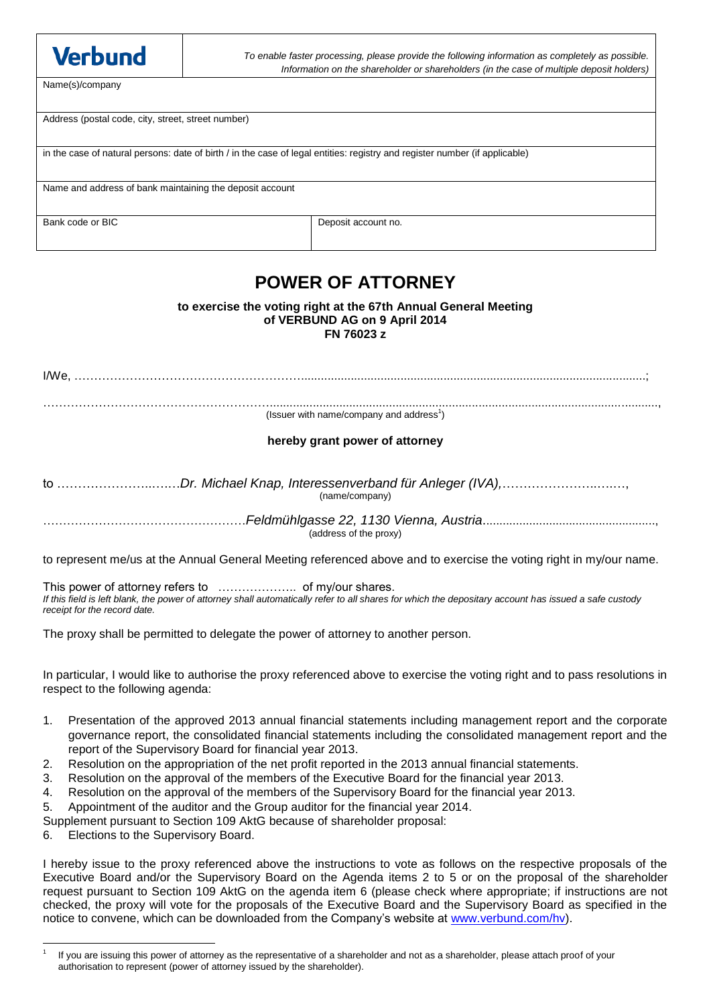| <b>Verbund</b>                                                                                                              | To enable faster processing, please provide the following information as completely as possible.<br>Information on the shareholder or shareholders (in the case of multiple deposit holders) |                     |  |  |
|-----------------------------------------------------------------------------------------------------------------------------|----------------------------------------------------------------------------------------------------------------------------------------------------------------------------------------------|---------------------|--|--|
| Name(s)/company                                                                                                             |                                                                                                                                                                                              |                     |  |  |
|                                                                                                                             |                                                                                                                                                                                              |                     |  |  |
| Address (postal code, city, street, street number)                                                                          |                                                                                                                                                                                              |                     |  |  |
| in the case of natural persons: date of birth / in the case of legal entities: registry and register number (if applicable) |                                                                                                                                                                                              |                     |  |  |
| Name and address of bank maintaining the deposit account                                                                    |                                                                                                                                                                                              |                     |  |  |
| Bank code or BIC                                                                                                            |                                                                                                                                                                                              | Deposit account no. |  |  |

# **POWER OF ATTORNEY**

#### **to exercise the voting right at the 67th Annual General Meeting of VERBUND AG on 9 April 2014 FN 76023 z**

I/We, …………………………………………………........................................................................................................;

…………………………………………………....................................................................................................................., (Issuer with name/company and address $^1$ )

# **hereby grant power of attorney**

to …………………..….…*Dr. Michael Knap, Interessenverband für Anleger (IVA),*…………………..….…, (name/company)

……………………………………………*Feldmühlgasse 22, 1130 Vienna, Austria*...................................................., (address of the proxy)

to represent me/us at the Annual General Meeting referenced above and to exercise the voting right in my/our name.

This power of attorney refers to ……………….. of my/our shares. If this field is left blank, the power of attorney shall automatically refer to all shares for which the depositary account has issued a safe custody *receipt for the record date.*

The proxy shall be permitted to delegate the power of attorney to another person.

In particular, I would like to authorise the proxy referenced above to exercise the voting right and to pass resolutions in respect to the following agenda:

- 1. Presentation of the approved 2013 annual financial statements including management report and the corporate governance report, the consolidated financial statements including the consolidated management report and the report of the Supervisory Board for financial year 2013.
- 2. Resolution on the appropriation of the net profit reported in the 2013 annual financial statements.
- 3. Resolution on the approval of the members of the Executive Board for the financial year 2013.
- 4. Resolution on the approval of the members of the Supervisory Board for the financial year 2013.
- 5. Appointment of the auditor and the Group auditor for the financial year 2014.

Supplement pursuant to Section 109 AktG because of shareholder proposal:

6. Elections to the Supervisory Board.

I hereby issue to the proxy referenced above the instructions to vote as follows on the respective proposals of the Executive Board and/or the Supervisory Board on the Agenda items 2 to 5 or on the proposal of the shareholder request pursuant to Section 109 AktG on the agenda item 6 (please check where appropriate; if instructions are not checked, the proxy will vote for the proposals of the Executive Board and the Supervisory Board as specified in the notice to convene, which can be downloaded from the Company's website at [www.verbund.com/hv\)](http://www.verbund.com/hv).

<sup>1</sup> 1 If you are issuing this power of attorney as the representative of a shareholder and not as a shareholder, please attach proof of your authorisation to represent (power of attorney issued by the shareholder).